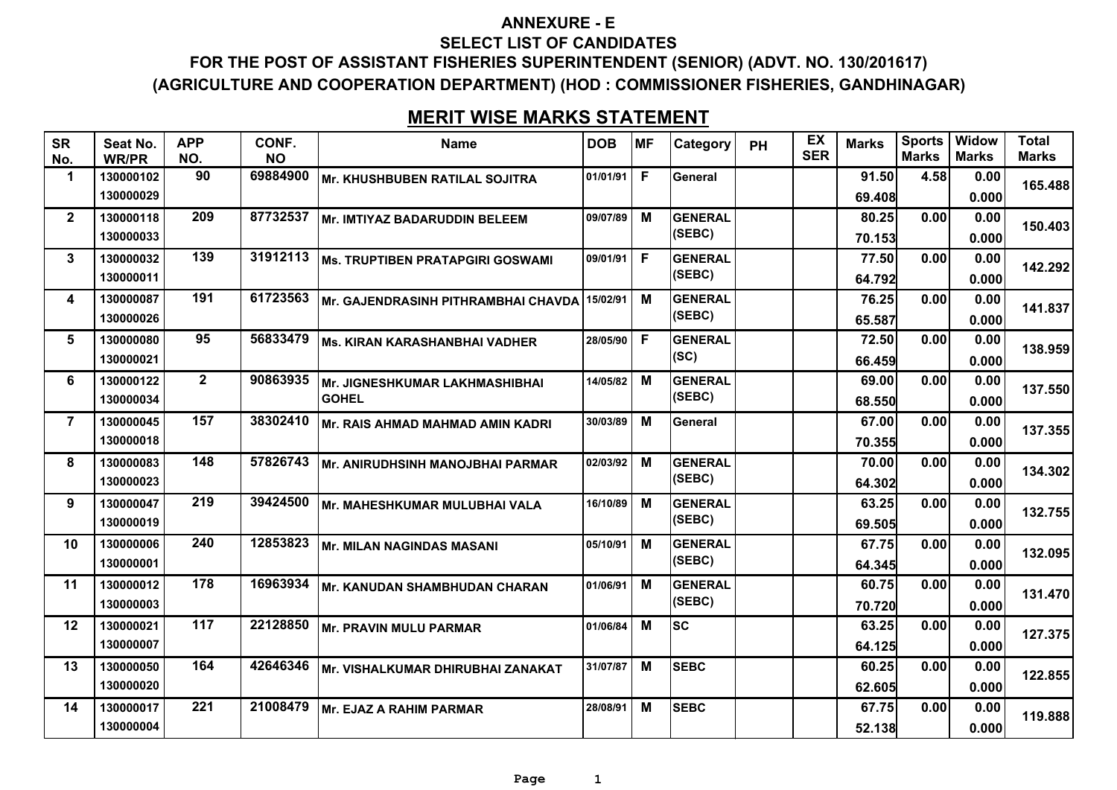### **ANNEXURE - E**

#### **SELECT LIST OF CANDIDATES**

**FOR THE POST OF ASSISTANT FISHERIES SUPERINTENDENT (SENIOR) (ADVT. NO. 130/201617) (AGRICULTURE AND COOPERATION DEPARTMENT) (HOD : COMMISSIONER FISHERIES, GANDHINAGAR)**

# **MERIT WISE MARKS STATEMENT**

| <b>SR</b><br>No. | Seat No.<br><b>WR/PR</b> | <b>APP</b><br>NO. | CONF.<br><b>NO</b> | <b>Name</b>                         | <b>DOB</b> | <b>MF</b> | Category       | <b>PH</b> | EX<br><b>SER</b> | <b>Marks</b> | <b>Sports</b><br><b>Marks</b> | <b>Widow</b><br><b>Marks</b> | <b>Total</b><br><b>Marks</b> |
|------------------|--------------------------|-------------------|--------------------|-------------------------------------|------------|-----------|----------------|-----------|------------------|--------------|-------------------------------|------------------------------|------------------------------|
| 1                | 130000102                | 90                | 69884900           | Mr. KHUSHBUBEN RATILAL SOJITRA      | 01/01/91   | F         | General        |           |                  | 91.50        | 4.58                          | 0.00                         | 165.488                      |
|                  | 130000029                |                   |                    |                                     |            |           |                |           |                  | 69.408       |                               | 0.000                        |                              |
| $\mathbf{2}$     | 130000118                | 209               | 87732537           | Mr. IMTIYAZ BADARUDDIN BELEEM       | 09/07/89   | M         | <b>GENERAL</b> |           |                  | 80.25        | 0.00                          | 0.00                         | 150.403                      |
|                  | 130000033                |                   |                    |                                     |            |           | (SEBC)         |           |                  | 70.153       |                               | 0.000                        |                              |
| 3                | 130000032                | 139               | 31912113           | Ms. TRUPTIBEN PRATAPGIRI GOSWAMI    | 09/01/91   | F         | <b>GENERAL</b> |           |                  | 77.50        | 0.00                          | 0.00                         | 142.292                      |
|                  | 130000011                |                   |                    |                                     |            |           | (SEBC)         |           |                  | 64.792       |                               | 0.000                        |                              |
| 4                | 130000087                | 191               | 61723563           | Mr. GAJENDRASINH PITHRAMBHAI CHAVDA | 15/02/91   | М         | <b>GENERAL</b> |           |                  | 76.25        | 0.00                          | 0.00                         | 141.837                      |
|                  | 130000026                |                   |                    |                                     |            |           | (SEBC)         |           |                  | 65.587       |                               | 0.000                        |                              |
| 5                | 130000080                | 95                | 56833479           | Ms. KIRAN KARASHANBHAI VADHER       | 28/05/90   | F         | <b>GENERAL</b> |           |                  | 72.50        | 0.00                          | 0.00                         | 138.959                      |
|                  | 130000021                |                   |                    |                                     |            |           | (SC)           |           |                  | 66.459       |                               | 0.000                        |                              |
| 6                | 130000122                | $\overline{2}$    | 90863935           | Mr. JIGNESHKUMAR LAKHMASHIBHAI      | 14/05/82   | м         | <b>GENERAL</b> |           |                  | 69.00        | 0.00                          | 0.00                         | 137.550                      |
|                  | 130000034                |                   |                    | <b>GOHEL</b>                        |            |           | (SEBC)         |           |                  | 68.550       |                               | 0.000                        |                              |
| $\overline{7}$   | 130000045                | 157               | 38302410           | Mr. RAIS AHMAD MAHMAD AMIN KADRI    | 30/03/89   | м         | General        |           |                  | 67.00        | 0.00                          | 0.00                         | 137.355                      |
|                  | 130000018                |                   |                    |                                     |            |           |                |           |                  | 70.355       |                               | 0.000                        |                              |
| 8                | 130000083                | 148               | 57826743           | Mr. ANIRUDHSINH MANOJBHAI PARMAR    | 02/03/92   | M         | <b>GENERAL</b> |           |                  | 70.00        | 0.00                          | 0.00                         | 134.302                      |
|                  | 130000023                |                   |                    |                                     |            |           | (SEBC)         |           |                  | 64.302       |                               | 0.000                        |                              |
| 9                | 130000047                | 219               | 39424500           | Mr. MAHESHKUMAR MULUBHAI VALA       | 16/10/89   | М         | <b>GENERAL</b> |           |                  | 63.25        | 0.00                          | 0.00                         | 132.755                      |
|                  | 130000019                |                   |                    |                                     |            |           | (SEBC)         |           |                  | 69.505       |                               | 0.000                        |                              |
| 10               | 130000006                | 240               | 12853823           | Mr. MILAN NAGINDAS MASANI           | 05/10/91   | M         | <b>GENERAL</b> |           |                  | 67.75        | 0.00                          | 0.00                         | 132.095                      |
|                  | 130000001                |                   |                    |                                     |            |           | (SEBC)         |           |                  | 64.345       |                               | 0.000                        |                              |
| 11               | 130000012                | 178               | 16963934           | Mr. KANUDAN SHAMBHUDAN CHARAN       | 01/06/91   | M         | <b>GENERAL</b> |           |                  | 60.75        | 0.00                          | 0.00                         | 131.470                      |
|                  | 130000003                |                   |                    |                                     |            |           | (SEBC)         |           |                  | 70.720       |                               | 0.000                        |                              |
| 12               | 130000021                | 117               | 22128850           | Mr. PRAVIN MULU PARMAR              | 01/06/84   | м         | lsc            |           |                  | 63.25        | 0.00                          | 0.00                         | 127.375                      |
|                  | 130000007                |                   |                    |                                     |            |           |                |           |                  | 64.125       |                               | 0.000                        |                              |
| 13               | 130000050                | 164               | 42646346           | Mr. VISHALKUMAR DHIRUBHAI ZANAKAT   | 31/07/87   | M         | <b>SEBC</b>    |           |                  | 60.25        | 0.00                          | 0.00                         | 122.855                      |
|                  | 130000020                |                   |                    |                                     |            |           |                |           |                  | 62.605       |                               | 0.000                        |                              |
| 14               | 130000017                | 221               | 21008479           | Mr. EJAZ A RAHIM PARMAR             | 28/08/91   | м         | <b>SEBC</b>    |           |                  | 67.75        | 0.00                          | 0.00                         | 119.888                      |
|                  | 130000004                |                   |                    |                                     |            |           |                |           |                  | 52.138       |                               | 0.000                        |                              |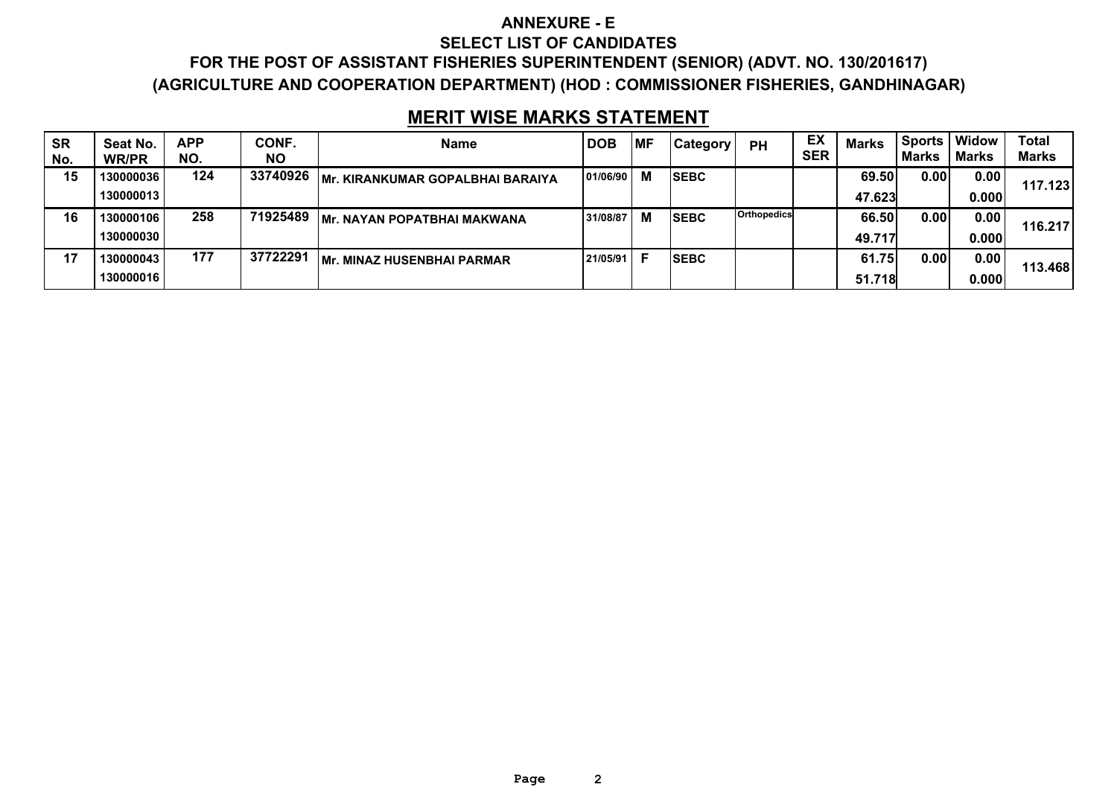#### **ANNEXURE - E**

#### **SELECT LIST OF CANDIDATES**

**FOR THE POST OF ASSISTANT FISHERIES SUPERINTENDENT (SENIOR) (ADVT. NO. 130/201617) (AGRICULTURE AND COOPERATION DEPARTMENT) (HOD : COMMISSIONER FISHERIES, GANDHINAGAR)**

# **MERIT WISE MARKS STATEMENT**

| <b>SR</b><br>No. | Seat No.<br><b>WR/PR</b> | <b>APP</b><br>NO. | CONF.<br>ΝO | <b>Name</b>                              | <b>DOB</b> | MF | <b>Category</b> | <b>PH</b>   | EX<br><b>SER</b> | <b>Marks</b> | <b>Sports</b><br>Marks | Widow<br><b>Marks</b> | <b>Total</b><br><b>Marks</b> |
|------------------|--------------------------|-------------------|-------------|------------------------------------------|------------|----|-----------------|-------------|------------------|--------------|------------------------|-----------------------|------------------------------|
| 15               | 130000036                | 124               | 33740926    | <b>IMr. KIRANKUMAR GOPALBHAI BARAIYA</b> | 01/06/90   | M  | <b>SEBC</b>     |             |                  | 69.50        | 0.00                   | 0.00                  | 117.123                      |
|                  | 130000013                |                   |             |                                          |            |    |                 |             |                  | 47.623       |                        | 0.000                 |                              |
| 16               | 130000106                | 258               | 71925489    | <b>IMr. NAYAN POPATBHAI MAKWANA</b>      | 31/08/87   | M  | <b>SEBC</b>     | Orthopedics |                  | 66.50        | 0.00                   | 0.00                  | 116.217                      |
|                  | 130000030                |                   |             |                                          |            |    |                 |             |                  | 49.717       |                        | 0.000                 |                              |
| 17               | 130000043                | 177               | 37722291    | <b>Mr. MINAZ HUSENBHAI PARMAR</b>        | 21/05/91   |    | <b>ISEBC</b>    |             |                  | 61.75        | 0.00                   | 0.00                  | 113.468                      |
|                  | 130000016                |                   |             |                                          |            |    |                 |             |                  | 51.718       |                        | 0.000                 |                              |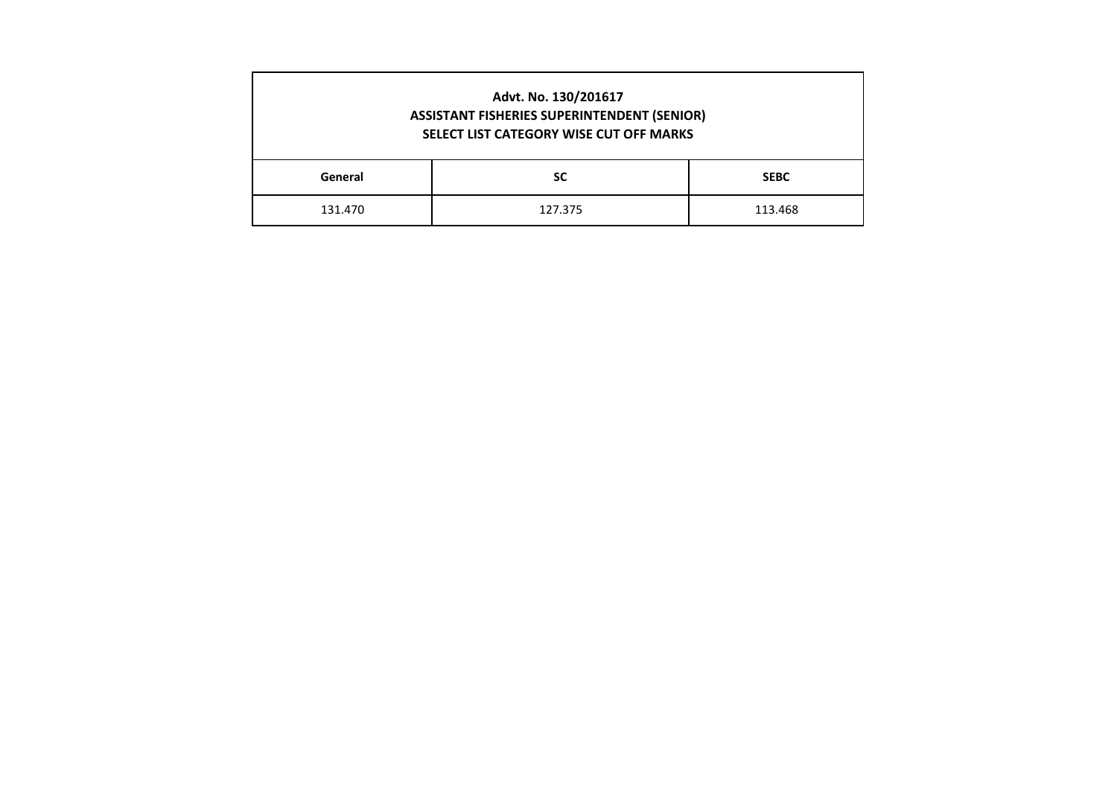|                               | Advt. No. 130/201617<br><b>ASSISTANT FISHERIES SUPERINTENDENT (SENIOR)</b><br>SELECT LIST CATEGORY WISE CUT OFF MARKS |  |  |  |  |  |  |  |  |  |  |  |
|-------------------------------|-----------------------------------------------------------------------------------------------------------------------|--|--|--|--|--|--|--|--|--|--|--|
| General                       | <b>SC</b><br><b>SEBC</b>                                                                                              |  |  |  |  |  |  |  |  |  |  |  |
| 131.470<br>127.375<br>113.468 |                                                                                                                       |  |  |  |  |  |  |  |  |  |  |  |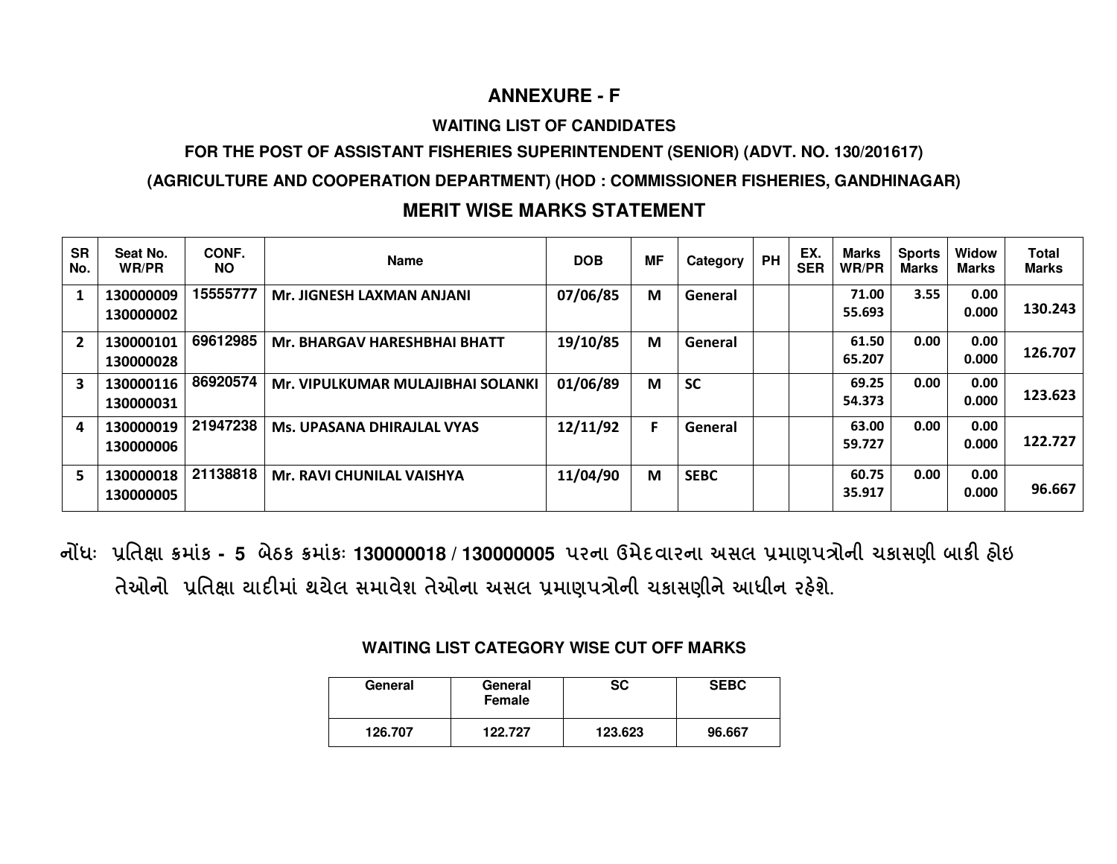## **ANNEXURE - F**

### **WAITING LIST OF CANDIDATES**

## **FOR THE POST OF ASSISTANT FISHERIES SUPERINTENDENT (SENIOR) (ADVT. NO. 130/201617)**

## **(AGRICULTURE AND COOPERATION DEPARTMENT) (HOD : COMMISSIONER FISHERIES, GANDHINAGAR)**

## **MERIT WISE MARKS STATEMENT**

| <b>SR</b><br>No. | Seat No.<br>WR/PR      | CONF.<br>NO. | <b>Name</b>                         | <b>DOB</b> | <b>MF</b> | Category    | <b>PH</b> | EX.<br><b>SER</b> | Marks<br>WR/PR  | <b>Sports</b><br>Marks | Widow<br>Marks | <b>Total</b><br><b>Marks</b> |
|------------------|------------------------|--------------|-------------------------------------|------------|-----------|-------------|-----------|-------------------|-----------------|------------------------|----------------|------------------------------|
|                  | 130000009<br>130000002 | 15555777     | Mr. JIGNESH LAXMAN ANJANI           | 07/06/85   | M         | General     |           |                   | 71.00<br>55.693 | 3.55                   | 0.00<br>0.000  | 130.243                      |
| $\overline{2}$   | 130000101<br>130000028 | 69612985     | <b>Mr. BHARGAV HARESHBHAI BHATT</b> | 19/10/85   | M         | General     |           |                   | 61.50<br>65.207 | 0.00                   | 0.00<br>0.000  | 126.707                      |
| 3                | 130000116<br>130000031 | 86920574     | Mr. VIPULKUMAR MULAJIBHAI SOLANKI   | 01/06/89   | M         | <b>SC</b>   |           |                   | 69.25<br>54.373 | 0.00                   | 0.00<br>0.000  | 123.623                      |
| 4                | 130000019<br>130000006 | 21947238     | <b>Ms. UPASANA DHIRAJLAL VYAS</b>   | 12/11/92   | F         | General     |           |                   | 63.00<br>59.727 | 0.00                   | 0.00<br>0.000  | 122.727                      |
| 5                | 130000018<br>130000005 | 21138818     | <b>Mr. RAVI CHUNILAL VAISHYA</b>    | 11/04/90   | M         | <b>SEBC</b> |           |                   | 60.75<br>35.917 | 0.00                   | 0.00<br>0.000  | 96.667                       |

 **નધઃ િત ા માંક - 5 બેઠક માંકઃ 130000018 / 130000005 પરના ઉમેદવારના અસલ માણપોની ચકાસણી બાક હોઇ**  તેઓનો પ્રતિક્ષા યાદીમાં થયેલ સમાવેશ તેઓના અસલ પ્રમાણપત્રોની ચકાસણીને આધીન રહેશે.

## **WAITING LIST CATEGORY WISE CUT OFF MARKS**

| General | General<br>Female | SC      | <b>SEBC</b> |
|---------|-------------------|---------|-------------|
| 126.707 | 122 727           | 123.623 | 96.667      |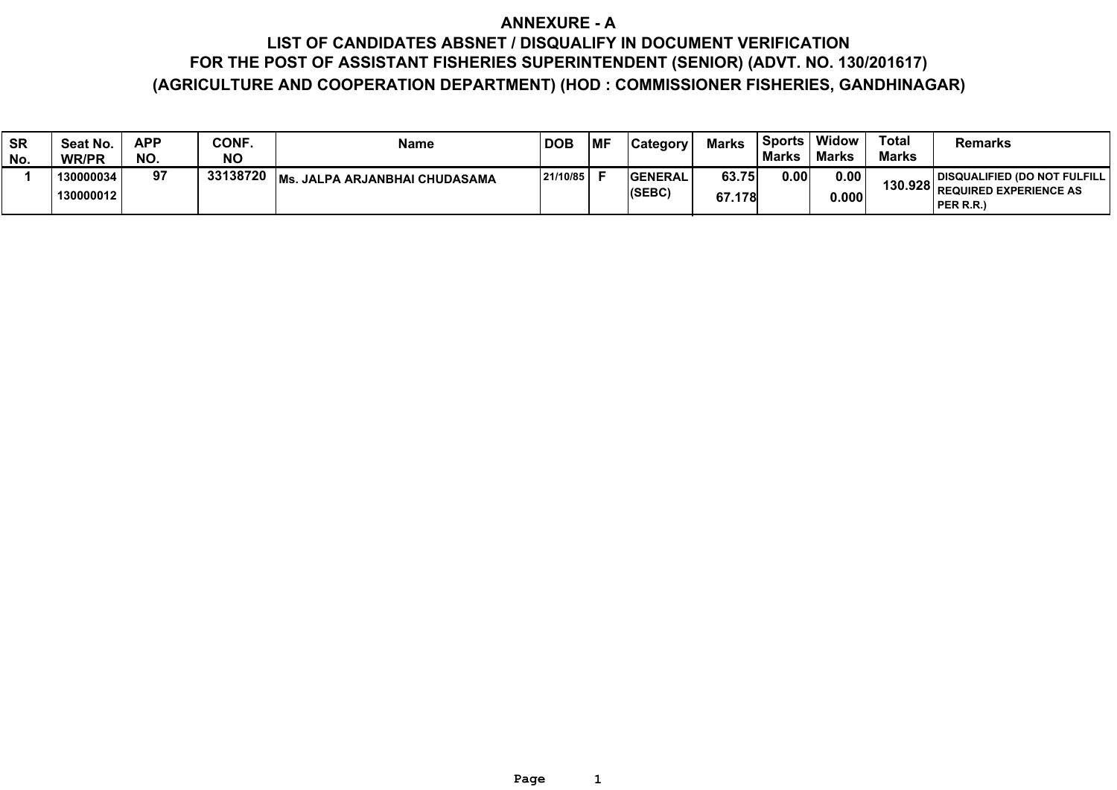## **ANNEXURE - A LIST OF CANDIDATES ABSNET / DISQUALIFY IN DOCUMENT VERIFICATION**

## **FOR THE POST OF ASSISTANT FISHERIES SUPERINTENDENT (SENIOR) (ADVT. NO. 130/201617) (AGRICULTURE AND COOPERATION DEPARTMENT) (HOD : COMMISSIONER FISHERIES, GANDHINAGAR)**

| <b>SR</b><br>No. | Seat No.<br><b>WR/PR</b> | APP<br>NO. | CONF.<br><b>NO</b> | <b>Name</b>                         | <b>DOB</b> | MF | <b>Category</b>           | <b>Marks</b>    | <b>Sports</b><br><b>Marks</b> | Widow<br><b>Marks</b> | <b>Total</b><br><b>Marks</b> | Remarks                                                                             |
|------------------|--------------------------|------------|--------------------|-------------------------------------|------------|----|---------------------------|-----------------|-------------------------------|-----------------------|------------------------------|-------------------------------------------------------------------------------------|
|                  | 130000034<br>130000012   | 97         | 33138720           | IMs.<br>. JALPA ARJANBHAI CHUDASAMA | 21/10/85   |    | <b>IGENERAL</b><br>(SEBC) | 63.75<br>67.178 | 0.00                          | 0.00<br>0.000         |                              | <b>DISQUALIFIED (DO NOT FULFILL  </b><br>130.928 REQUIRED EXPERIENCE AS<br>PER R.R. |